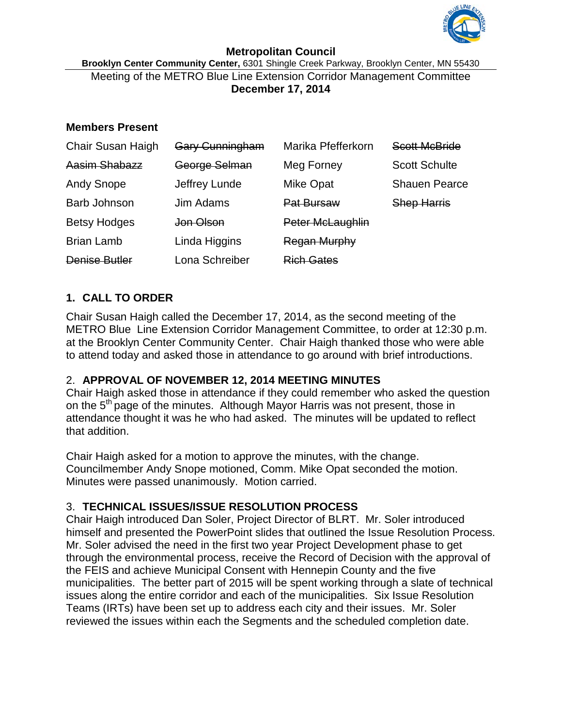

#### **Metropolitan Council Brooklyn Center Community Center,** 6301 Shingle Creek Parkway, Brooklyn Center, MN 55430 Meeting of the METRO Blue Line Extension Corridor Management Committee **December 17, 2014**

### **Members Present**

| <b>Chair Susan Haigh</b> | <b>Gary Cunningham</b> | Marika Pfefferkorn | <b>Scott McBride</b> |
|--------------------------|------------------------|--------------------|----------------------|
| Aasim Shabazz            | George Selman          | Meg Forney         | <b>Scott Schulte</b> |
| <b>Andy Snope</b>        | Jeffrey Lunde          | <b>Mike Opat</b>   | <b>Shauen Pearce</b> |
| <b>Barb Johnson</b>      | Jim Adams              | <b>Pat Bursaw</b>  | <b>Shep Harris</b>   |
| <b>Betsy Hodges</b>      | <del>Jon Olson</del>   | Peter McLaughlin   |                      |
| <b>Brian Lamb</b>        | Linda Higgins          | Regan Murphy       |                      |
| <b>Denise Butler</b>     | Lona Schreiber         | <b>Rich Gates</b>  |                      |

# **1. CALL TO ORDER**

Chair Susan Haigh called the December 17, 2014, as the second meeting of the METRO Blue Line Extension Corridor Management Committee, to order at 12:30 p.m. at the Brooklyn Center Community Center. Chair Haigh thanked those who were able to attend today and asked those in attendance to go around with brief introductions.

# 2. **APPROVAL OF NOVEMBER 12, 2014 MEETING MINUTES**

Chair Haigh asked those in attendance if they could remember who asked the question on the 5<sup>th</sup> page of the minutes. Although Mayor Harris was not present, those in attendance thought it was he who had asked. The minutes will be updated to reflect that addition.

Chair Haigh asked for a motion to approve the minutes, with the change. Councilmember Andy Snope motioned, Comm. Mike Opat seconded the motion. Minutes were passed unanimously. Motion carried.

# 3. **TECHNICAL ISSUES/ISSUE RESOLUTION PROCESS**

Chair Haigh introduced Dan Soler, Project Director of BLRT. Mr. Soler introduced himself and presented the PowerPoint slides that outlined the Issue Resolution Process. Mr. Soler advised the need in the first two year Project Development phase to get through the environmental process, receive the Record of Decision with the approval of the FEIS and achieve Municipal Consent with Hennepin County and the five municipalities. The better part of 2015 will be spent working through a slate of technical issues along the entire corridor and each of the municipalities. Six Issue Resolution Teams (IRTs) have been set up to address each city and their issues. Mr. Soler reviewed the issues within each the Segments and the scheduled completion date.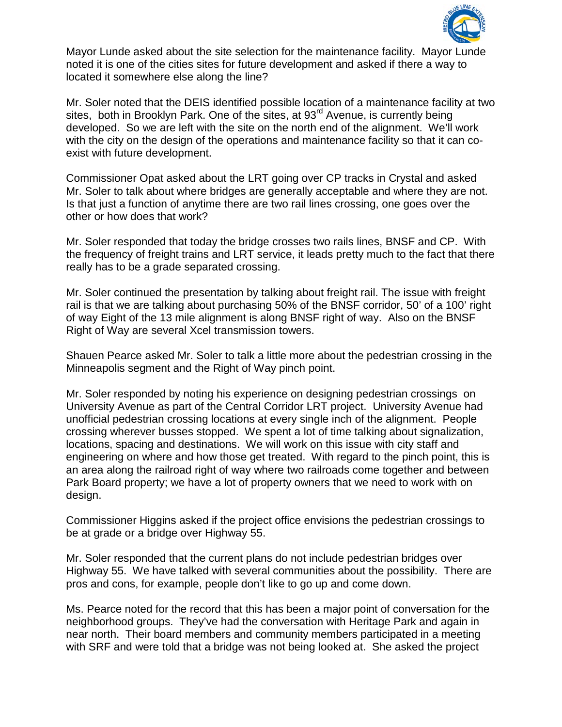

Mayor Lunde asked about the site selection for the maintenance facility. Mayor Lunde noted it is one of the cities sites for future development and asked if there a way to located it somewhere else along the line?

Mr. Soler noted that the DEIS identified possible location of a maintenance facility at two sites, both in Brooklyn Park. One of the sites, at 93<sup>rd</sup> Avenue, is currently being developed. So we are left with the site on the north end of the alignment. We'll work with the city on the design of the operations and maintenance facility so that it can coexist with future development.

Commissioner Opat asked about the LRT going over CP tracks in Crystal and asked Mr. Soler to talk about where bridges are generally acceptable and where they are not. Is that just a function of anytime there are two rail lines crossing, one goes over the other or how does that work?

Mr. Soler responded that today the bridge crosses two rails lines, BNSF and CP. With the frequency of freight trains and LRT service, it leads pretty much to the fact that there really has to be a grade separated crossing.

Mr. Soler continued the presentation by talking about freight rail. The issue with freight rail is that we are talking about purchasing 50% of the BNSF corridor, 50' of a 100' right of way Eight of the 13 mile alignment is along BNSF right of way. Also on the BNSF Right of Way are several Xcel transmission towers.

Shauen Pearce asked Mr. Soler to talk a little more about the pedestrian crossing in the Minneapolis segment and the Right of Way pinch point.

Mr. Soler responded by noting his experience on designing pedestrian crossings on University Avenue as part of the Central Corridor LRT project. University Avenue had unofficial pedestrian crossing locations at every single inch of the alignment. People crossing wherever busses stopped. We spent a lot of time talking about signalization, locations, spacing and destinations. We will work on this issue with city staff and engineering on where and how those get treated. With regard to the pinch point, this is an area along the railroad right of way where two railroads come together and between Park Board property; we have a lot of property owners that we need to work with on design.

Commissioner Higgins asked if the project office envisions the pedestrian crossings to be at grade or a bridge over Highway 55.

Mr. Soler responded that the current plans do not include pedestrian bridges over Highway 55. We have talked with several communities about the possibility. There are pros and cons, for example, people don't like to go up and come down.

Ms. Pearce noted for the record that this has been a major point of conversation for the neighborhood groups. They've had the conversation with Heritage Park and again in near north. Their board members and community members participated in a meeting with SRF and were told that a bridge was not being looked at. She asked the project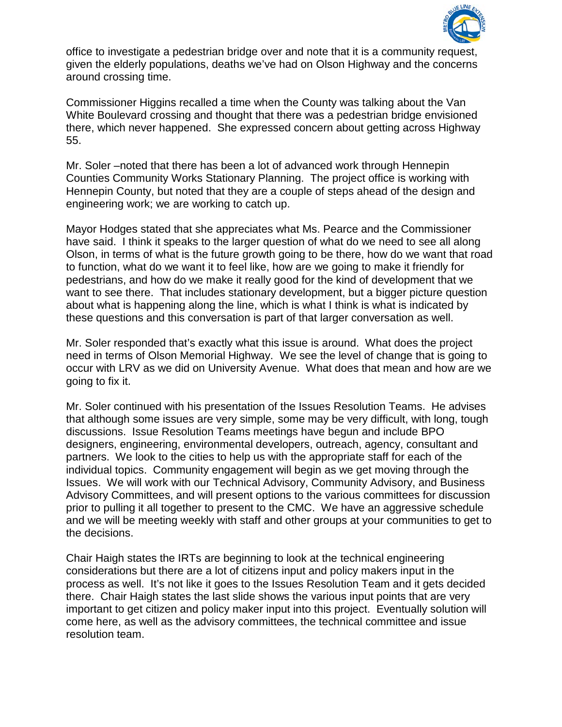

office to investigate a pedestrian bridge over and note that it is a community request, given the elderly populations, deaths we've had on Olson Highway and the concerns around crossing time.

Commissioner Higgins recalled a time when the County was talking about the Van White Boulevard crossing and thought that there was a pedestrian bridge envisioned there, which never happened. She expressed concern about getting across Highway 55.

Mr. Soler –noted that there has been a lot of advanced work through Hennepin Counties Community Works Stationary Planning. The project office is working with Hennepin County, but noted that they are a couple of steps ahead of the design and engineering work; we are working to catch up.

Mayor Hodges stated that she appreciates what Ms. Pearce and the Commissioner have said. I think it speaks to the larger question of what do we need to see all along Olson, in terms of what is the future growth going to be there, how do we want that road to function, what do we want it to feel like, how are we going to make it friendly for pedestrians, and how do we make it really good for the kind of development that we want to see there. That includes stationary development, but a bigger picture question about what is happening along the line, which is what I think is what is indicated by these questions and this conversation is part of that larger conversation as well.

Mr. Soler responded that's exactly what this issue is around. What does the project need in terms of Olson Memorial Highway. We see the level of change that is going to occur with LRV as we did on University Avenue. What does that mean and how are we going to fix it.

Mr. Soler continued with his presentation of the Issues Resolution Teams. He advises that although some issues are very simple, some may be very difficult, with long, tough discussions. Issue Resolution Teams meetings have begun and include BPO designers, engineering, environmental developers, outreach, agency, consultant and partners. We look to the cities to help us with the appropriate staff for each of the individual topics. Community engagement will begin as we get moving through the Issues. We will work with our Technical Advisory, Community Advisory, and Business Advisory Committees, and will present options to the various committees for discussion prior to pulling it all together to present to the CMC. We have an aggressive schedule and we will be meeting weekly with staff and other groups at your communities to get to the decisions.

Chair Haigh states the IRTs are beginning to look at the technical engineering considerations but there are a lot of citizens input and policy makers input in the process as well. It's not like it goes to the Issues Resolution Team and it gets decided there. Chair Haigh states the last slide shows the various input points that are very important to get citizen and policy maker input into this project. Eventually solution will come here, as well as the advisory committees, the technical committee and issue resolution team.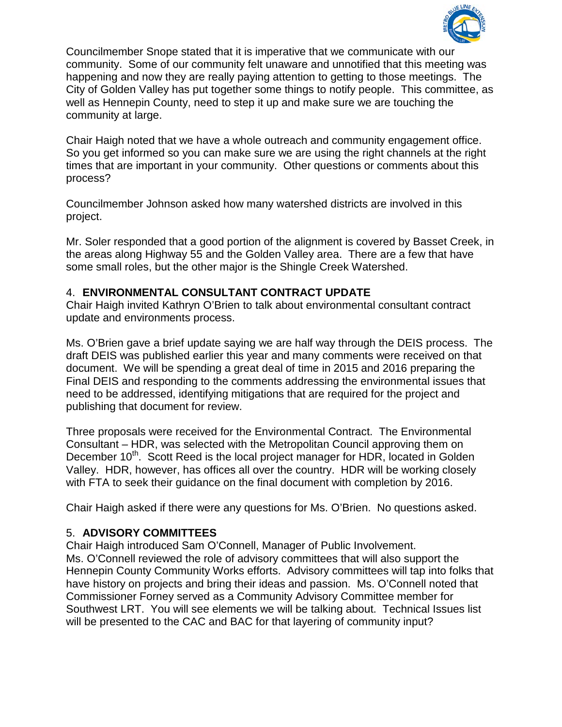

Councilmember Snope stated that it is imperative that we communicate with our community. Some of our community felt unaware and unnotified that this meeting was happening and now they are really paying attention to getting to those meetings. The City of Golden Valley has put together some things to notify people. This committee, as well as Hennepin County, need to step it up and make sure we are touching the community at large.

Chair Haigh noted that we have a whole outreach and community engagement office. So you get informed so you can make sure we are using the right channels at the right times that are important in your community. Other questions or comments about this process?

Councilmember Johnson asked how many watershed districts are involved in this project.

Mr. Soler responded that a good portion of the alignment is covered by Basset Creek, in the areas along Highway 55 and the Golden Valley area. There are a few that have some small roles, but the other major is the Shingle Creek Watershed.

### 4. **ENVIRONMENTAL CONSULTANT CONTRACT UPDATE**

Chair Haigh invited Kathryn O'Brien to talk about environmental consultant contract update and environments process.

Ms. O'Brien gave a brief update saying we are half way through the DEIS process. The draft DEIS was published earlier this year and many comments were received on that document. We will be spending a great deal of time in 2015 and 2016 preparing the Final DEIS and responding to the comments addressing the environmental issues that need to be addressed, identifying mitigations that are required for the project and publishing that document for review.

Three proposals were received for the Environmental Contract. The Environmental Consultant – HDR, was selected with the Metropolitan Council approving them on December 10<sup>th</sup>. Scott Reed is the local project manager for HDR, located in Golden Valley. HDR, however, has offices all over the country. HDR will be working closely with FTA to seek their guidance on the final document with completion by 2016.

Chair Haigh asked if there were any questions for Ms. O'Brien. No questions asked.

### 5. **ADVISORY COMMITTEES**

Chair Haigh introduced Sam O'Connell, Manager of Public Involvement. Ms. O'Connell reviewed the role of advisory committees that will also support the Hennepin County Community Works efforts. Advisory committees will tap into folks that have history on projects and bring their ideas and passion. Ms. O'Connell noted that Commissioner Forney served as a Community Advisory Committee member for Southwest LRT. You will see elements we will be talking about. Technical Issues list will be presented to the CAC and BAC for that layering of community input?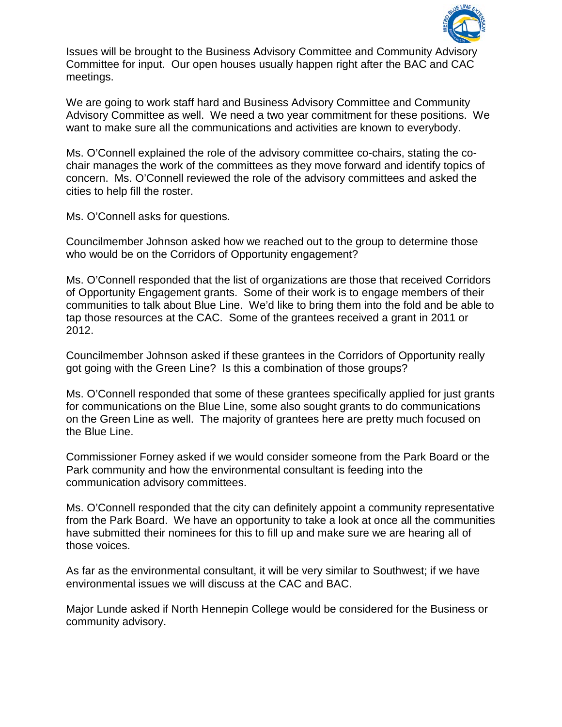

Issues will be brought to the Business Advisory Committee and Community Advisory Committee for input. Our open houses usually happen right after the BAC and CAC meetings.

We are going to work staff hard and Business Advisory Committee and Community Advisory Committee as well. We need a two year commitment for these positions. We want to make sure all the communications and activities are known to everybody.

Ms. O'Connell explained the role of the advisory committee co-chairs, stating the cochair manages the work of the committees as they move forward and identify topics of concern. Ms. O'Connell reviewed the role of the advisory committees and asked the cities to help fill the roster.

Ms. O'Connell asks for questions.

Councilmember Johnson asked how we reached out to the group to determine those who would be on the Corridors of Opportunity engagement?

Ms. O'Connell responded that the list of organizations are those that received Corridors of Opportunity Engagement grants. Some of their work is to engage members of their communities to talk about Blue Line. We'd like to bring them into the fold and be able to tap those resources at the CAC. Some of the grantees received a grant in 2011 or 2012.

Councilmember Johnson asked if these grantees in the Corridors of Opportunity really got going with the Green Line? Is this a combination of those groups?

Ms. O'Connell responded that some of these grantees specifically applied for just grants for communications on the Blue Line, some also sought grants to do communications on the Green Line as well. The majority of grantees here are pretty much focused on the Blue Line.

Commissioner Forney asked if we would consider someone from the Park Board or the Park community and how the environmental consultant is feeding into the communication advisory committees.

Ms. O'Connell responded that the city can definitely appoint a community representative from the Park Board. We have an opportunity to take a look at once all the communities have submitted their nominees for this to fill up and make sure we are hearing all of those voices.

As far as the environmental consultant, it will be very similar to Southwest; if we have environmental issues we will discuss at the CAC and BAC.

Major Lunde asked if North Hennepin College would be considered for the Business or community advisory.